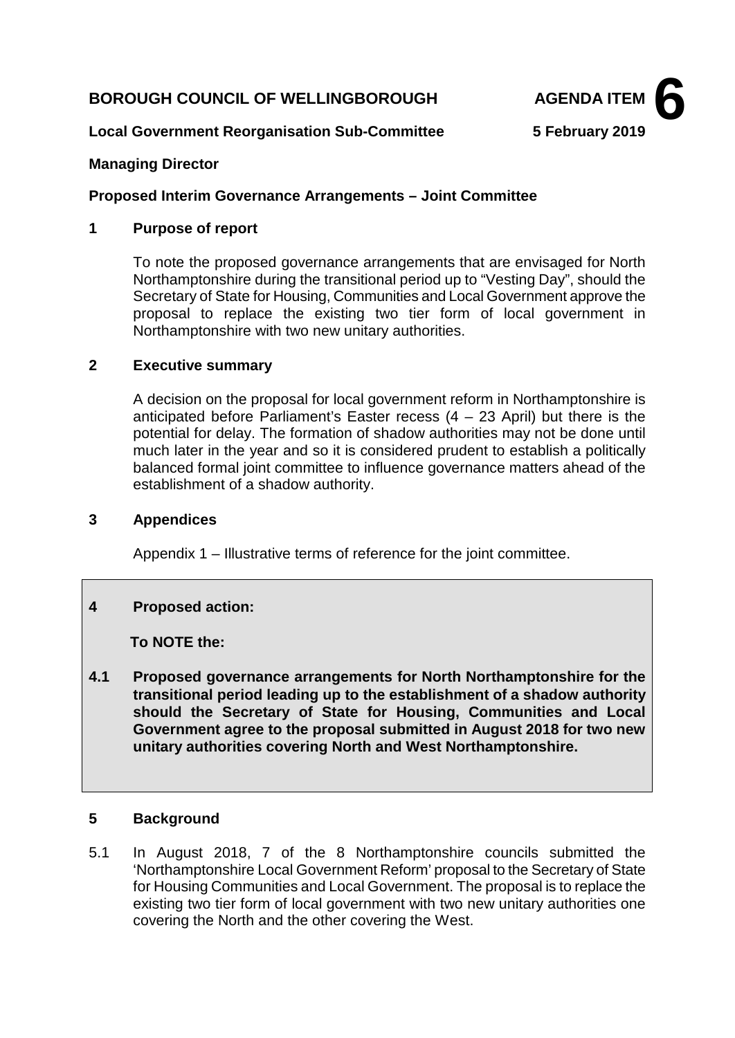## **BOROUGH COUNCIL OF WELLINGBOROUGH AGENDA ITEM**



## **Local Government Reorganisation Sub-Committee 5 February 2019**

### **Managing Director**

#### **Proposed Interim Governance Arrangements – Joint Committee**

#### **1 Purpose of report**

To note the proposed governance arrangements that are envisaged for North Northamptonshire during the transitional period up to "Vesting Day", should the Secretary of State for Housing, Communities and Local Government approve the proposal to replace the existing two tier form of local government in Northamptonshire with two new unitary authorities.

#### **2 Executive summary**

A decision on the proposal for local government reform in Northamptonshire is anticipated before Parliament's Easter recess  $(4 - 23$  April) but there is the potential for delay. The formation of shadow authorities may not be done until much later in the year and so it is considered prudent to establish a politically balanced formal joint committee to influence governance matters ahead of the establishment of a shadow authority.

#### **3 Appendices**

Appendix 1 – Illustrative terms of reference for the joint committee.

## **4 Proposed action:**

 **To NOTE the:**

**4.1 Proposed governance arrangements for North Northamptonshire for the transitional period leading up to the establishment of a shadow authority should the Secretary of State for Housing, Communities and Local Government agree to the proposal submitted in August 2018 for two new unitary authorities covering North and West Northamptonshire.**

## **5 Background**

5.1 In August 2018, 7 of the 8 Northamptonshire councils submitted the 'Northamptonshire Local Government Reform' proposal to the Secretary of State for Housing Communities and Local Government. The proposal is to replace the existing two tier form of local government with two new unitary authorities one covering the North and the other covering the West.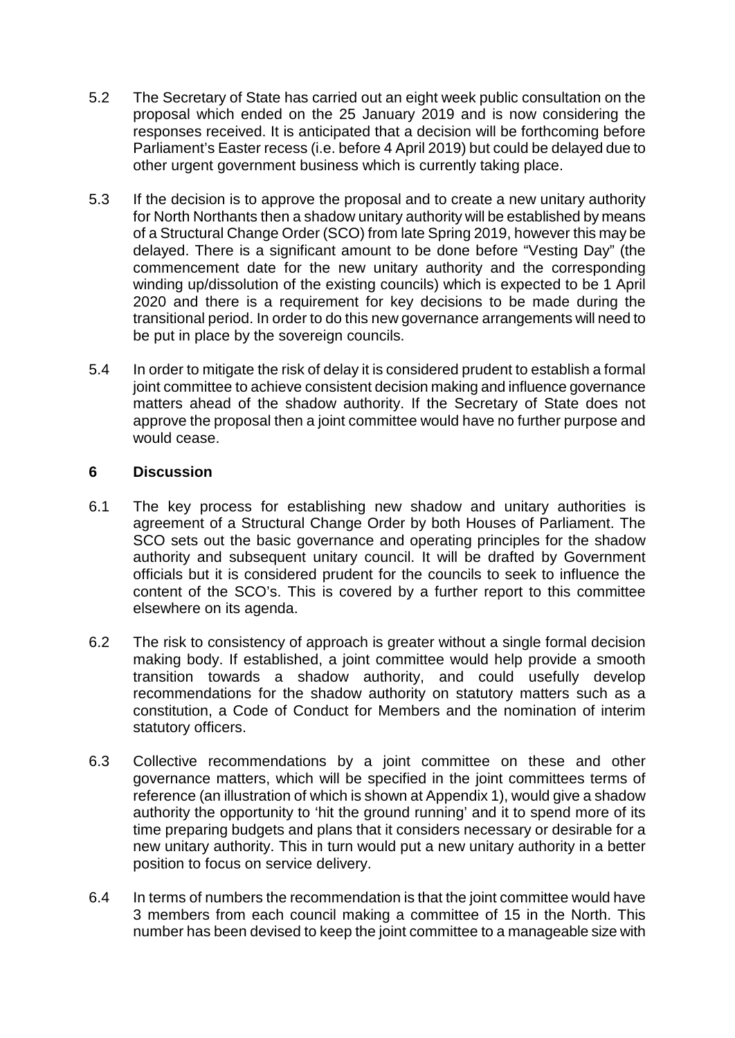- 5.2 The Secretary of State has carried out an eight week public consultation on the proposal which ended on the 25 January 2019 and is now considering the responses received. It is anticipated that a decision will be forthcoming before Parliament's Easter recess (i.e. before 4 April 2019) but could be delayed due to other urgent government business which is currently taking place.
- 5.3 If the decision is to approve the proposal and to create a new unitary authority for North Northants then a shadow unitary authority will be established by means of a Structural Change Order (SCO) from late Spring 2019, however this may be delayed. There is a significant amount to be done before "Vesting Day" (the commencement date for the new unitary authority and the corresponding winding up/dissolution of the existing councils) which is expected to be 1 April 2020 and there is a requirement for key decisions to be made during the transitional period. In order to do this new governance arrangements will need to be put in place by the sovereign councils.
- 5.4 In order to mitigate the risk of delay it is considered prudent to establish a formal joint committee to achieve consistent decision making and influence governance matters ahead of the shadow authority. If the Secretary of State does not approve the proposal then a joint committee would have no further purpose and would cease.

## **6 Discussion**

- 6.1 The key process for establishing new shadow and unitary authorities is agreement of a Structural Change Order by both Houses of Parliament. The SCO sets out the basic governance and operating principles for the shadow authority and subsequent unitary council. It will be drafted by Government officials but it is considered prudent for the councils to seek to influence the content of the SCO's. This is covered by a further report to this committee elsewhere on its agenda.
- 6.2 The risk to consistency of approach is greater without a single formal decision making body. If established, a joint committee would help provide a smooth transition towards a shadow authority, and could usefully develop recommendations for the shadow authority on statutory matters such as a constitution, a Code of Conduct for Members and the nomination of interim statutory officers.
- 6.3 Collective recommendations by a joint committee on these and other governance matters, which will be specified in the joint committees terms of reference (an illustration of which is shown at Appendix 1), would give a shadow authority the opportunity to 'hit the ground running' and it to spend more of its time preparing budgets and plans that it considers necessary or desirable for a new unitary authority. This in turn would put a new unitary authority in a better position to focus on service delivery.
- 6.4 In terms of numbers the recommendation is that the joint committee would have 3 members from each council making a committee of 15 in the North. This number has been devised to keep the joint committee to a manageable size with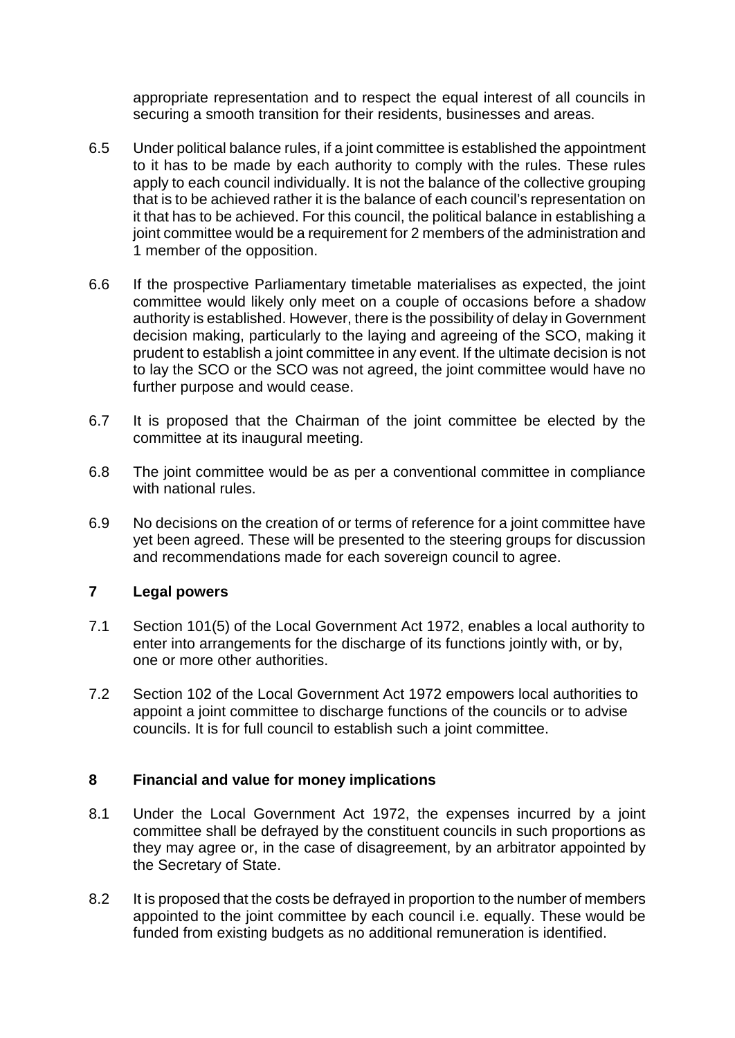appropriate representation and to respect the equal interest of all councils in securing a smooth transition for their residents, businesses and areas.

- 6.5 Under political balance rules, if a joint committee is established the appointment to it has to be made by each authority to comply with the rules. These rules apply to each council individually. It is not the balance of the collective grouping that is to be achieved rather it is the balance of each council's representation on it that has to be achieved. For this council, the political balance in establishing a joint committee would be a requirement for 2 members of the administration and 1 member of the opposition.
- 6.6 If the prospective Parliamentary timetable materialises as expected, the joint committee would likely only meet on a couple of occasions before a shadow authority is established. However, there is the possibility of delay in Government decision making, particularly to the laying and agreeing of the SCO, making it prudent to establish a joint committee in any event. If the ultimate decision is not to lay the SCO or the SCO was not agreed, the joint committee would have no further purpose and would cease.
- 6.7 It is proposed that the Chairman of the joint committee be elected by the committee at its inaugural meeting.
- 6.8 The joint committee would be as per a conventional committee in compliance with national rules.
- 6.9 No decisions on the creation of or terms of reference for a joint committee have yet been agreed. These will be presented to the steering groups for discussion and recommendations made for each sovereign council to agree.

## **7 Legal powers**

- 7.1 Section 101(5) of the Local Government Act 1972, enables a local authority to enter into arrangements for the discharge of its functions jointly with, or by, one or more other authorities.
- 7.2 Section 102 of the Local Government Act 1972 empowers local authorities to appoint a joint committee to discharge functions of the councils or to advise councils. It is for full council to establish such a joint committee.

## **8 Financial and value for money implications**

- 8.1 Under the Local Government Act 1972, the expenses incurred by a joint committee shall be defrayed by the constituent councils in such proportions as they may agree or, in the case of disagreement, by an arbitrator appointed by the Secretary of State.
- 8.2 It is proposed that the costs be defrayed in proportion to the number of members appointed to the joint committee by each council i.e. equally. These would be funded from existing budgets as no additional remuneration is identified.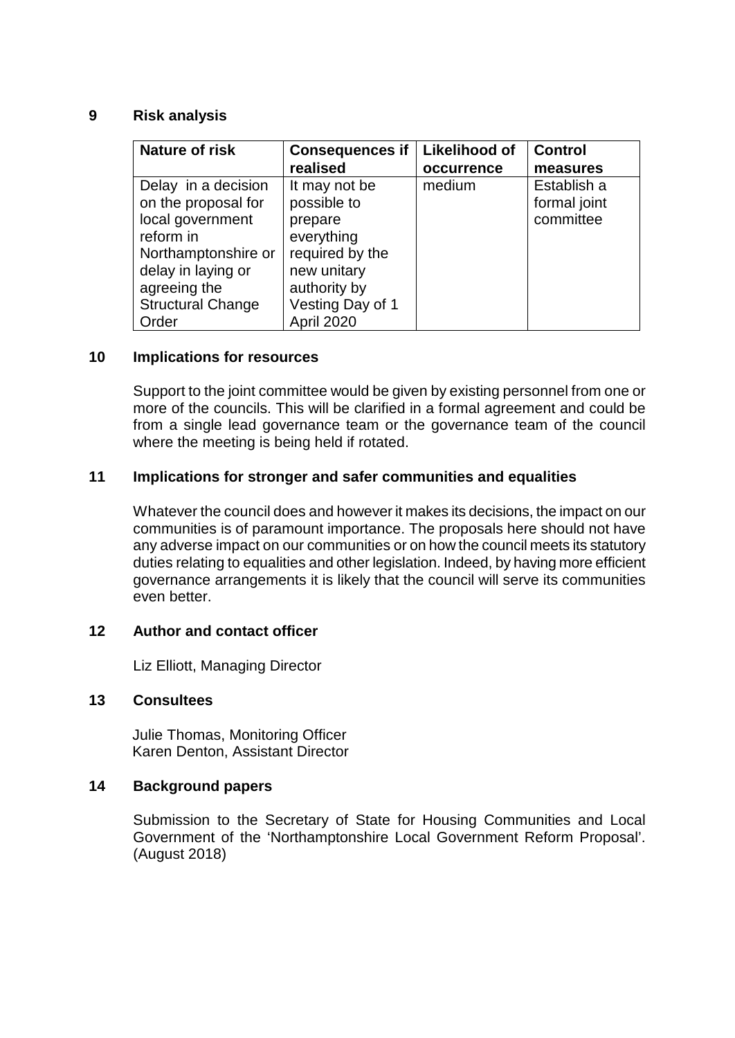### **9 Risk analysis**

| <b>Nature of risk</b>    | <b>Consequences if</b> | Likelihood of | <b>Control</b> |
|--------------------------|------------------------|---------------|----------------|
|                          | realised               | occurrence    | measures       |
| Delay in a decision      | It may not be          | medium        | Establish a    |
| on the proposal for      | possible to            |               | formal joint   |
| local government         | prepare                |               | committee      |
| reform in                | everything             |               |                |
| Northamptonshire or      | required by the        |               |                |
| delay in laying or       | new unitary            |               |                |
| agreeing the             | authority by           |               |                |
| <b>Structural Change</b> | Vesting Day of 1       |               |                |
| Order                    | April 2020             |               |                |

#### **10 Implications for resources**

Support to the joint committee would be given by existing personnel from one or more of the councils. This will be clarified in a formal agreement and could be from a single lead governance team or the governance team of the council where the meeting is being held if rotated.

#### **11 Implications for stronger and safer communities and equalities**

Whatever the council does and however it makes its decisions, the impact on our communities is of paramount importance. The proposals here should not have any adverse impact on our communities or on how the council meets its statutory duties relating to equalities and other legislation. Indeed, by having more efficient governance arrangements it is likely that the council will serve its communities even better.

## **12 Author and contact officer**

Liz Elliott, Managing Director

#### **13 Consultees**

Julie Thomas, Monitoring Officer Karen Denton, Assistant Director

## **14 Background papers**

Submission to the Secretary of State for Housing Communities and Local Government of the 'Northamptonshire Local Government Reform Proposal'. (August 2018)